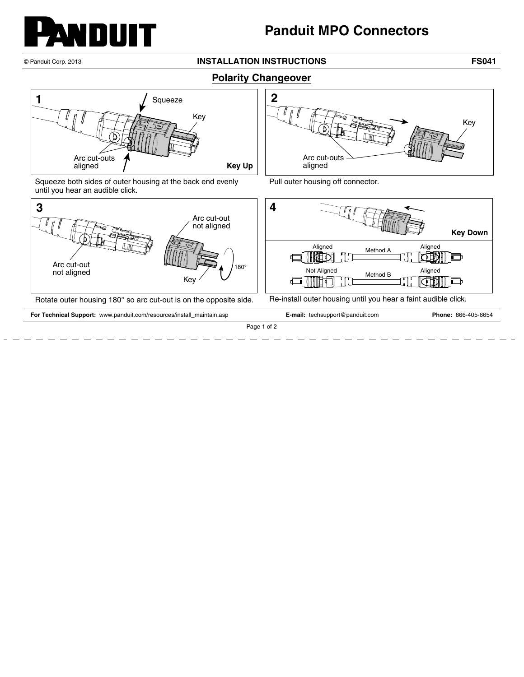

## **Panduit MPO Connectors**

## © Panduit Corp. 2013 **INSTALLATION INSTRUCTIONS FS041**

## **Polarity Changeover**



Squeeze both sides of outer housing at the back end evenly until you hear an audible click.



Pull outer housing off connector.



Rotate outer housing 180° so arc cut-out is on the opposite side. Re-install outer housing until you hear a faint audible click.

**For Technical Support:** www.panduit.com/resources/install\_maintain.asp **E-mail:** techsupport@panduit.com **Phone:** 866-405-6654